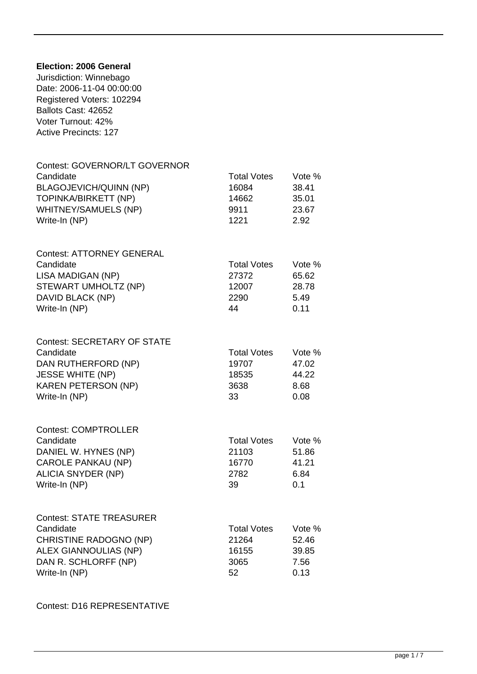## **Election: 2006 General**

Jurisdiction: Winnebago Date: 2006-11-04 00:00:00 Registered Voters: 102294 Ballots Cast: 42652 Voter Turnout: 42% Active Precincts: 127

| Contest: GOVERNOR/LT GOVERNOR<br>Candidate<br><b>BLAGOJEVICH/QUINN (NP)</b><br>TOPINKA/BIRKETT (NP)<br>WHITNEY/SAMUELS (NP)<br>Write-In (NP)           | <b>Total Votes</b><br>16084<br>14662<br>9911<br>1221 | Vote %<br>38.41<br>35.01<br>23.67<br>2.92 |
|--------------------------------------------------------------------------------------------------------------------------------------------------------|------------------------------------------------------|-------------------------------------------|
| <b>Contest: ATTORNEY GENERAL</b><br>Candidate<br>LISA MADIGAN (NP)<br>STEWART UMHOLTZ (NP)<br>DAVID BLACK (NP)<br>Write-In (NP)                        | <b>Total Votes</b><br>27372<br>12007<br>2290<br>44   | Vote %<br>65.62<br>28.78<br>5.49<br>0.11  |
| <b>Contest: SECRETARY OF STATE</b><br>Candidate<br>DAN RUTHERFORD (NP)<br><b>JESSE WHITE (NP)</b><br><b>KAREN PETERSON (NP)</b><br>Write-In (NP)       | <b>Total Votes</b><br>19707<br>18535<br>3638<br>33   | Vote %<br>47.02<br>44.22<br>8.68<br>0.08  |
| <b>Contest: COMPTROLLER</b><br>Candidate<br>DANIEL W. HYNES (NP)<br><b>CAROLE PANKAU (NP)</b><br><b>ALICIA SNYDER (NP)</b><br>Write-In (NP)            | <b>Total Votes</b><br>21103<br>16770<br>2782<br>39   | Vote %<br>51.86<br>41.21<br>6.84<br>0.1   |
| <b>Contest: STATE TREASURER</b><br>Candidate<br><b>CHRISTINE RADOGNO (NP)</b><br><b>ALEX GIANNOULIAS (NP)</b><br>DAN R. SCHLORFF (NP)<br>Write-In (NP) | <b>Total Votes</b><br>21264<br>16155<br>3065<br>52   | Vote %<br>52.46<br>39.85<br>7.56<br>0.13  |

Contest: D16 REPRESENTATIVE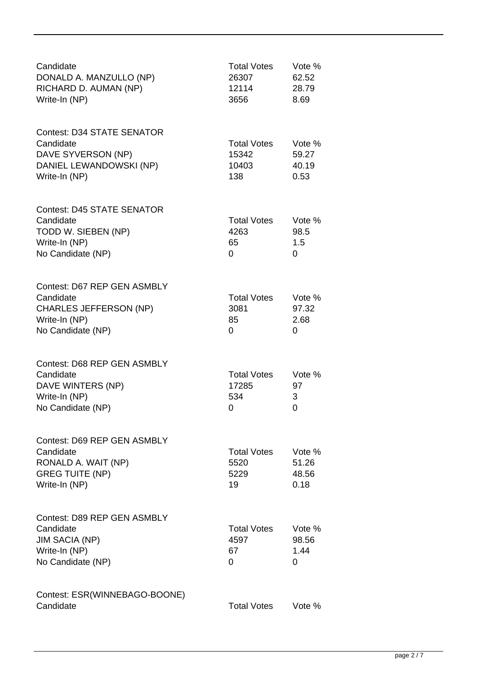| Candidate<br>DONALD A. MANZULLO (NP)<br>RICHARD D. AUMAN (NP)<br>Write-In (NP)                                   | <b>Total Votes</b><br>26307<br>12114<br>3656 | Vote %<br>62.52<br>28.79<br>8.69 |
|------------------------------------------------------------------------------------------------------------------|----------------------------------------------|----------------------------------|
| <b>Contest: D34 STATE SENATOR</b><br>Candidate<br>DAVE SYVERSON (NP)<br>DANIEL LEWANDOWSKI (NP)<br>Write-In (NP) | <b>Total Votes</b><br>15342<br>10403<br>138  | Vote %<br>59.27<br>40.19<br>0.53 |
| <b>Contest: D45 STATE SENATOR</b><br>Candidate<br>TODD W. SIEBEN (NP)<br>Write-In (NP)<br>No Candidate (NP)      | <b>Total Votes</b><br>4263<br>65<br>0        | Vote %<br>98.5<br>1.5<br>0       |
| Contest: D67 REP GEN ASMBLY<br>Candidate<br><b>CHARLES JEFFERSON (NP)</b><br>Write-In (NP)<br>No Candidate (NP)  | <b>Total Votes</b><br>3081<br>85<br>0        | Vote %<br>97.32<br>2.68<br>0     |
| Contest: D68 REP GEN ASMBLY<br>Candidate<br>DAVE WINTERS (NP)<br>Write-In (NP)<br>No Candidate (NP)              | <b>Total Votes</b><br>17285<br>534<br>0      | Vote %<br>97<br>3<br>0           |
| Contest: D69 REP GEN ASMBLY<br>Candidate<br>RONALD A. WAIT (NP)<br><b>GREG TUITE (NP)</b><br>Write-In (NP)       | <b>Total Votes</b><br>5520<br>5229<br>19     | Vote %<br>51.26<br>48.56<br>0.18 |
| Contest: D89 REP GEN ASMBLY<br>Candidate<br><b>JIM SACIA (NP)</b><br>Write-In (NP)<br>No Candidate (NP)          | <b>Total Votes</b><br>4597<br>67<br>0        | Vote %<br>98.56<br>1.44<br>0     |
| Contest: ESR(WINNEBAGO-BOONE)<br>Candidate                                                                       | <b>Total Votes</b>                           | Vote %                           |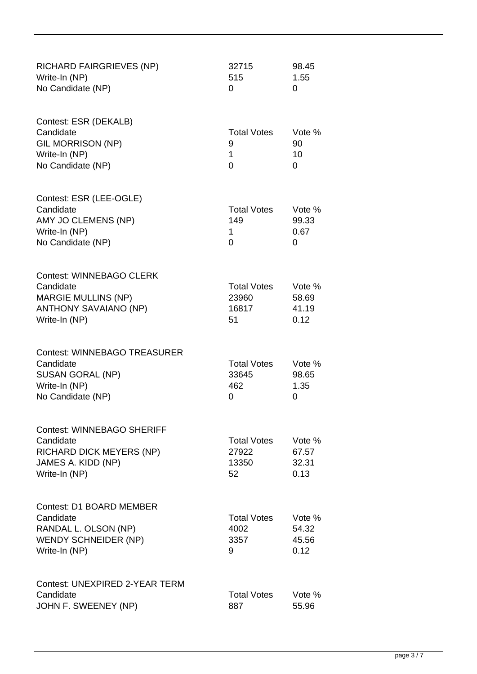| <b>RICHARD FAIRGRIEVES (NP)</b><br>Write-In (NP)<br>No Candidate (NP)                                                       | 32715<br>515<br>0                          | 98.45<br>1.55<br>0               |
|-----------------------------------------------------------------------------------------------------------------------------|--------------------------------------------|----------------------------------|
| Contest: ESR (DEKALB)<br>Candidate<br>GIL MORRISON (NP)<br>Write-In (NP)<br>No Candidate (NP)                               | <b>Total Votes</b><br>9<br>1<br>0          | Vote %<br>90<br>10<br>0          |
| Contest: ESR (LEE-OGLE)<br>Candidate<br>AMY JO CLEMENS (NP)<br>Write-In (NP)<br>No Candidate (NP)                           | <b>Total Votes</b><br>149<br>1<br>0        | Vote %<br>99.33<br>0.67<br>0     |
| <b>Contest: WINNEBAGO CLERK</b><br>Candidate<br><b>MARGIE MULLINS (NP)</b><br><b>ANTHONY SAVAIANO (NP)</b><br>Write-In (NP) | <b>Total Votes</b><br>23960<br>16817<br>51 | Vote %<br>58.69<br>41.19<br>0.12 |
| <b>Contest: WINNEBAGO TREASURER</b><br>Candidate<br>SUSAN GORAL (NP)<br>Write-In (NP)<br>No Candidate (NP)                  | <b>Total Votes</b><br>33645<br>462<br>0    | Vote %<br>98.65<br>1.35<br>0     |
| <b>Contest: WINNEBAGO SHERIFF</b><br>Candidate<br><b>RICHARD DICK MEYERS (NP)</b><br>JAMES A. KIDD (NP)<br>Write-In (NP)    | <b>Total Votes</b><br>27922<br>13350<br>52 | Vote %<br>67.57<br>32.31<br>0.13 |
| Contest: D1 BOARD MEMBER<br>Candidate<br>RANDAL L. OLSON (NP)<br><b>WENDY SCHNEIDER (NP)</b><br>Write-In (NP)               | <b>Total Votes</b><br>4002<br>3357<br>9    | Vote %<br>54.32<br>45.56<br>0.12 |
| <b>Contest: UNEXPIRED 2-YEAR TERM</b><br>Candidate<br>JOHN F. SWEENEY (NP)                                                  | <b>Total Votes</b><br>887                  | Vote %<br>55.96                  |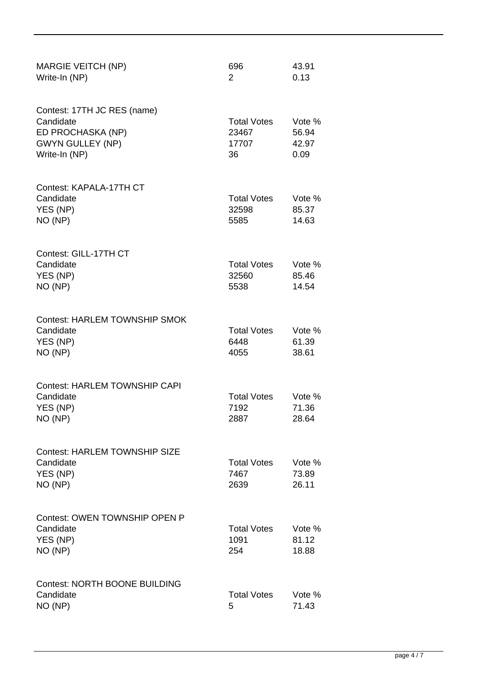| <b>MARGIE VEITCH (NP)</b><br>Write-In (NP)                                                                | 696<br>2                                   | 43.91<br>0.13                    |
|-----------------------------------------------------------------------------------------------------------|--------------------------------------------|----------------------------------|
| Contest: 17TH JC RES (name)<br>Candidate<br>ED PROCHASKA (NP)<br><b>GWYN GULLEY (NP)</b><br>Write-In (NP) | <b>Total Votes</b><br>23467<br>17707<br>36 | Vote %<br>56.94<br>42.97<br>0.09 |
| Contest: KAPALA-17TH CT<br>Candidate<br>YES (NP)<br>NO (NP)                                               | <b>Total Votes</b><br>32598<br>5585        | Vote %<br>85.37<br>14.63         |
| Contest: GILL-17TH CT<br>Candidate<br>YES (NP)<br>NO (NP)                                                 | <b>Total Votes</b><br>32560<br>5538        | Vote %<br>85.46<br>14.54         |
| <b>Contest: HARLEM TOWNSHIP SMOK</b><br>Candidate<br>YES (NP)<br>NO (NP)                                  | <b>Total Votes</b><br>6448<br>4055         | Vote %<br>61.39<br>38.61         |
| <b>Contest: HARLEM TOWNSHIP CAPI</b><br>Candidate<br>YES (NP)<br>NO (NP)                                  | <b>Total Votes</b><br>7192<br>2887         | Vote %<br>71.36<br>28.64         |
| <b>Contest: HARLEM TOWNSHIP SIZE</b><br>Candidate<br>YES (NP)<br>NO (NP)                                  | <b>Total Votes</b><br>7467<br>2639         | Vote %<br>73.89<br>26.11         |
| Contest: OWEN TOWNSHIP OPEN P<br>Candidate<br>YES (NP)<br>NO (NP)                                         | <b>Total Votes</b><br>1091<br>254          | Vote %<br>81.12<br>18.88         |
| Contest: NORTH BOONE BUILDING<br>Candidate<br>NO (NP)                                                     | <b>Total Votes</b><br>5                    | Vote %<br>71.43                  |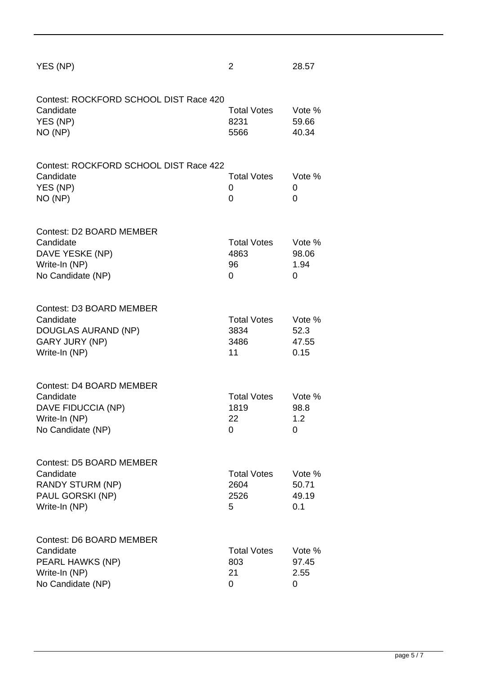| YES (NP)                                                                                                             | $\overline{2}$                           | 28.57                           |
|----------------------------------------------------------------------------------------------------------------------|------------------------------------------|---------------------------------|
| Contest: ROCKFORD SCHOOL DIST Race 420<br>Candidate<br>YES (NP)<br>NO (NP)                                           | <b>Total Votes</b><br>8231<br>5566       | Vote %<br>59.66<br>40.34        |
| Contest: ROCKFORD SCHOOL DIST Race 422<br>Candidate<br>YES (NP)<br>NO (NP)                                           | <b>Total Votes</b><br>0<br>0             | Vote %<br>0<br>0                |
| Contest: D2 BOARD MEMBER<br>Candidate<br>DAVE YESKE (NP)<br>Write-In (NP)<br>No Candidate (NP)                       | <b>Total Votes</b><br>4863<br>96<br>0    | Vote %<br>98.06<br>1.94<br>0    |
| <b>Contest: D3 BOARD MEMBER</b><br>Candidate<br><b>DOUGLAS AURAND (NP)</b><br><b>GARY JURY (NP)</b><br>Write-In (NP) | <b>Total Votes</b><br>3834<br>3486<br>11 | Vote %<br>52.3<br>47.55<br>0.15 |
| <b>Contest: D4 BOARD MEMBER</b><br>Candidate<br>DAVE FIDUCCIA (NP)<br>Write-In (NP)<br>No Candidate (NP)             | <b>Total Votes</b><br>1819<br>22<br>0    | Vote %<br>98.8<br>1.2<br>0      |
| Contest: D5 BOARD MEMBER<br>Candidate<br><b>RANDY STURM (NP)</b><br>PAUL GORSKI (NP)<br>Write-In (NP)                | <b>Total Votes</b><br>2604<br>2526<br>5  | Vote %<br>50.71<br>49.19<br>0.1 |
| Contest: D6 BOARD MEMBER<br>Candidate<br>PEARL HAWKS (NP)<br>Write-In (NP)<br>No Candidate (NP)                      | <b>Total Votes</b><br>803<br>21<br>0     | Vote %<br>97.45<br>2.55<br>0    |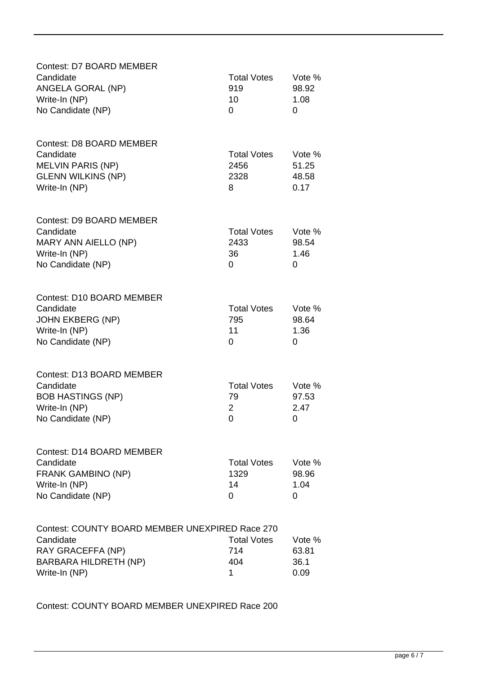| <b>Contest: D7 BOARD MEMBER</b>                 |                    |                |
|-------------------------------------------------|--------------------|----------------|
| Candidate                                       | <b>Total Votes</b> | Vote %         |
| ANGELA GORAL (NP)                               | 919                | 98.92          |
| Write-In (NP)                                   | 10                 | 1.08           |
| No Candidate (NP)                               | 0                  | 0              |
| Contest: D8 BOARD MEMBER                        |                    |                |
| Candidate                                       | <b>Total Votes</b> | Vote %         |
| <b>MELVIN PARIS (NP)</b>                        | 2456               | 51.25          |
| <b>GLENN WILKINS (NP)</b>                       | 2328               | 48.58          |
| Write-In (NP)                                   | 8                  | 0.17           |
| Contest: D9 BOARD MEMBER                        |                    |                |
| Candidate                                       | <b>Total Votes</b> | Vote %         |
| MARY ANN AIELLO (NP)                            | 2433               | 98.54          |
| Write-In (NP)                                   | 36                 | 1.46           |
| No Candidate (NP)                               | 0                  | 0              |
| <b>Contest: D10 BOARD MEMBER</b>                |                    |                |
| Candidate                                       | <b>Total Votes</b> | Vote %         |
| <b>JOHN EKBERG (NP)</b>                         | 795                | 98.64          |
| Write-In (NP)                                   | 11                 | 1.36           |
| No Candidate (NP)                               | 0                  | 0              |
| <b>Contest: D13 BOARD MEMBER</b>                |                    |                |
| Candidate                                       | <b>Total Votes</b> | Vote %         |
| <b>BOB HASTINGS (NP)</b>                        | 79                 | 97.53          |
| Write-In (NP)                                   | $\overline{2}$     | 2.47           |
| No Candidate (NP)                               | 0                  | $\overline{0}$ |
| Contest: D14 BOARD MEMBER                       |                    |                |
| Candidate                                       | <b>Total Votes</b> | Vote %         |
| <b>FRANK GAMBINO (NP)</b>                       | 1329               | 98.96          |
| Write-In (NP)                                   | 14                 | 1.04           |
| No Candidate (NP)                               | 0                  | 0              |
| Contest: COUNTY BOARD MEMBER UNEXPIRED Race 270 |                    |                |
| Candidate                                       | <b>Total Votes</b> | Vote %         |
| RAY GRACEFFA (NP)                               | 714                | 63.81          |
| <b>BARBARA HILDRETH (NP)</b>                    | 404                | 36.1           |
| Write-In (NP)                                   | 1                  | 0.09           |

Contest: COUNTY BOARD MEMBER UNEXPIRED Race 200